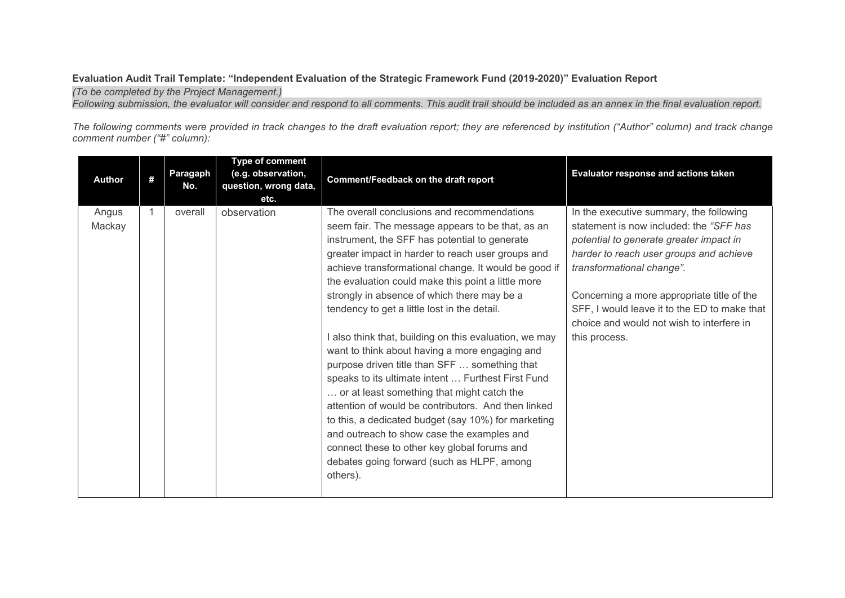## **Evaluation Audit Trail Template: "Independent Evaluation of the Strategic Framework Fund (2019-2020)" Evaluation Report**

*(To be completed by the Project Management.)*

*Following submission, the evaluator will consider and respond to all comments. This audit trail should be included as an annex in the final evaluation report.*

*The following comments were provided in track changes to the draft evaluation report; they are referenced by institution ("Author" column) and track change comment number ("#" column):*

| <b>Author</b>   | # | Paragaph<br>No. | <b>Type of comment</b><br>(e.g. observation,<br>question, wrong data,<br>etc. | Comment/Feedback on the draft report                                                                                                                                                                                                                                                                                                                                                                                                                                                                                                                                                                                                                                                                                                                                                                                                                                                                                                                      | Evaluator response and actions taken                                                                                                                                                                                                                                                                                                                              |
|-----------------|---|-----------------|-------------------------------------------------------------------------------|-----------------------------------------------------------------------------------------------------------------------------------------------------------------------------------------------------------------------------------------------------------------------------------------------------------------------------------------------------------------------------------------------------------------------------------------------------------------------------------------------------------------------------------------------------------------------------------------------------------------------------------------------------------------------------------------------------------------------------------------------------------------------------------------------------------------------------------------------------------------------------------------------------------------------------------------------------------|-------------------------------------------------------------------------------------------------------------------------------------------------------------------------------------------------------------------------------------------------------------------------------------------------------------------------------------------------------------------|
| Angus<br>Mackay |   | overall         | observation                                                                   | The overall conclusions and recommendations<br>seem fair. The message appears to be that, as an<br>instrument, the SFF has potential to generate<br>greater impact in harder to reach user groups and<br>achieve transformational change. It would be good if<br>the evaluation could make this point a little more<br>strongly in absence of which there may be a<br>tendency to get a little lost in the detail.<br>I also think that, building on this evaluation, we may<br>want to think about having a more engaging and<br>purpose driven title than SFF  something that<br>speaks to its ultimate intent  Furthest First Fund<br>or at least something that might catch the<br>attention of would be contributors. And then linked<br>to this, a dedicated budget (say 10%) for marketing<br>and outreach to show case the examples and<br>connect these to other key global forums and<br>debates going forward (such as HLPF, among<br>others). | In the executive summary, the following<br>statement is now included: the "SFF has<br>potential to generate greater impact in<br>harder to reach user groups and achieve<br>transformational change".<br>Concerning a more appropriate title of the<br>SFF, I would leave it to the ED to make that<br>choice and would not wish to interfere in<br>this process. |